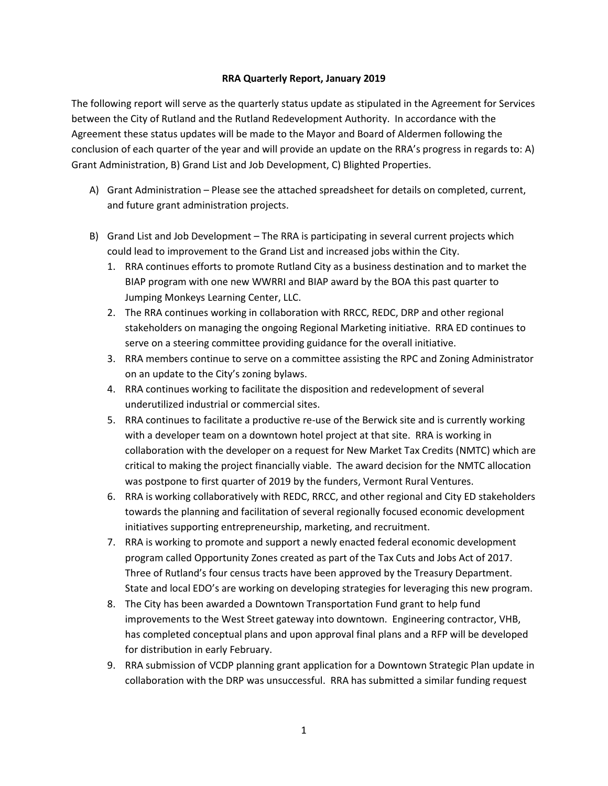## **RRA Quarterly Report, January 2019**

The following report will serve as the quarterly status update as stipulated in the Agreement for Services between the City of Rutland and the Rutland Redevelopment Authority. In accordance with the Agreement these status updates will be made to the Mayor and Board of Aldermen following the conclusion of each quarter of the year and will provide an update on the RRA's progress in regards to: A) Grant Administration, B) Grand List and Job Development, C) Blighted Properties.

- A) Grant Administration Please see the attached spreadsheet for details on completed, current, and future grant administration projects.
- B) Grand List and Job Development The RRA is participating in several current projects which could lead to improvement to the Grand List and increased jobs within the City.
	- 1. RRA continues efforts to promote Rutland City as a business destination and to market the BIAP program with one new WWRRI and BIAP award by the BOA this past quarter to Jumping Monkeys Learning Center, LLC.
	- 2. The RRA continues working in collaboration with RRCC, REDC, DRP and other regional stakeholders on managing the ongoing Regional Marketing initiative. RRA ED continues to serve on a steering committee providing guidance for the overall initiative.
	- 3. RRA members continue to serve on a committee assisting the RPC and Zoning Administrator on an update to the City's zoning bylaws.
	- 4. RRA continues working to facilitate the disposition and redevelopment of several underutilized industrial or commercial sites.
	- 5. RRA continues to facilitate a productive re-use of the Berwick site and is currently working with a developer team on a downtown hotel project at that site. RRA is working in collaboration with the developer on a request for New Market Tax Credits (NMTC) which are critical to making the project financially viable. The award decision for the NMTC allocation was postpone to first quarter of 2019 by the funders, Vermont Rural Ventures.
	- 6. RRA is working collaboratively with REDC, RRCC, and other regional and City ED stakeholders towards the planning and facilitation of several regionally focused economic development initiatives supporting entrepreneurship, marketing, and recruitment.
	- 7. RRA is working to promote and support a newly enacted federal economic development program called Opportunity Zones created as part of the Tax Cuts and Jobs Act of 2017. Three of Rutland's four census tracts have been approved by the Treasury Department. State and local EDO's are working on developing strategies for leveraging this new program.
	- 8. The City has been awarded a Downtown Transportation Fund grant to help fund improvements to the West Street gateway into downtown. Engineering contractor, VHB, has completed conceptual plans and upon approval final plans and a RFP will be developed for distribution in early February.
	- 9. RRA submission of VCDP planning grant application for a Downtown Strategic Plan update in collaboration with the DRP was unsuccessful. RRA has submitted a similar funding request